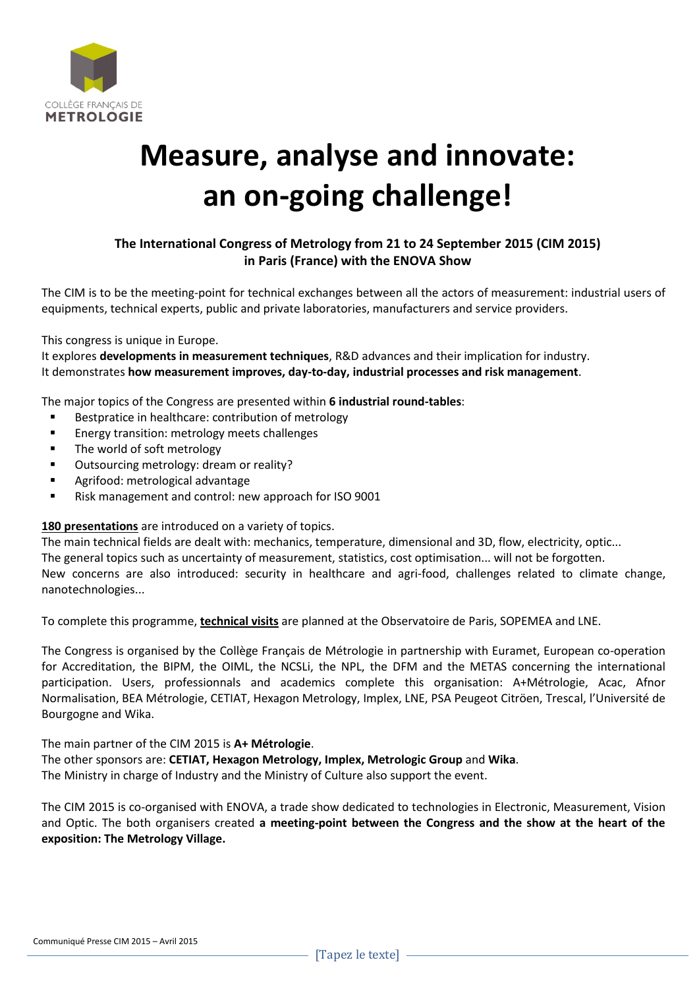

## **Measure, analyse and innovate: an on-going challenge!**

## **The International Congress of Metrology from 21 to 24 September 2015 (CIM 2015) in Paris (France) with the ENOVA Show**

The CIM is to be the meeting-point for technical exchanges between all the actors of measurement: industrial users of equipments, technical experts, public and private laboratories, manufacturers and service providers.

This congress is unique in Europe.

It explores **developments in measurement techniques**, R&D advances and their implication for industry. It demonstrates **how measurement improves, day-to-day, industrial processes and risk management**.

The major topics of the Congress are presented within **6 industrial round-tables**:

- **Bestpratice in healthcare: contribution of metrology**
- **Energy transition: metrology meets challenges**
- The world of soft metrology
- Outsourcing metrology: dream or reality?
- Agrifood: metrological advantage
- **EXECT:** Risk management and control: new approach for ISO 9001

**180 presentations** are introduced on a variety of topics.

The main technical fields are dealt with: mechanics, temperature, dimensional and 3D, flow, electricity, optic... The general topics such as uncertainty of measurement, statistics, cost optimisation... will not be forgotten. New concerns are also introduced: security in healthcare and agri-food, challenges related to climate change, nanotechnologies...

To complete this programme, **technical visits** are planned at the Observatoire de Paris, SOPEMEA and LNE.

The Congress is organised by the Collège Français de Métrologie in partnership with Euramet, European co-operation for Accreditation, the BIPM, the OIML, the NCSLi, the NPL, the DFM and the METAS concerning the international participation. Users, professionnals and academics complete this organisation: A+Métrologie, Acac, Afnor Normalisation, BEA Métrologie, CETIAT, Hexagon Metrology, Implex, LNE, PSA Peugeot Citröen, Trescal, l'Université de Bourgogne and Wika.

The main partner of the CIM 2015 is **A+ Métrologie**.

The other sponsors are: **CETIAT, Hexagon Metrology, Implex, Metrologic Group** and **Wika**.

The Ministry in charge of Industry and the Ministry of Culture also support the event.

The CIM 2015 is co-organised with ENOVA, a trade show dedicated to technologies in Electronic, Measurement, Vision and Optic. The both organisers created **a meeting-point between the Congress and the show at the heart of the exposition: The Metrology Village.**